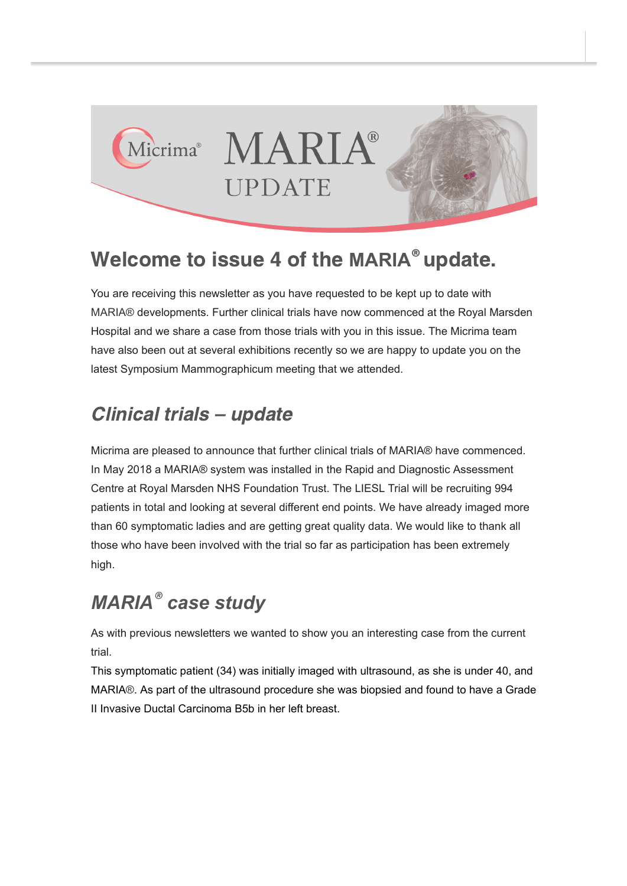

# Welcome to issue 4 of the MARIA<sup>®</sup> update.

You are receiving this newsletter as you have requested to be kept up to date with MARIA® developments. Further clinical trials have now commenced at the Royal Marsden Hospital and we share a case from those trials with you in this issue. The Micrima team have also been out at several exhibitions recently so we are happy to update you on the latest Symposium Mammographicum meeting that we attended.

#### Clinical trials – update

Micrima are pleased to announce that further clinical trials of MARIA® have commenced. In May 2018 a MARIA® system was installed in the Rapid and Diagnostic Assessment Centre at Royal Marsden NHS Foundation Trust. The LIESL Trial will be recruiting 994 patients in total and looking at several different end points. We have already imaged more than 60 symptomatic ladies and are getting great quality data. We would like to thank all those who have been involved with the trial so far as participation has been extremely high.

## *MARIA case study ®*

As with previous newsletters we wanted to show you an interesting case from the current trial.

This symptomatic patient (34) was initially imaged with ultrasound, as she is under 40, and MARIA®. As part of the ultrasound procedure she was biopsied and found to have a Grade II Invasive Ductal Carcinoma B5b in her left breast.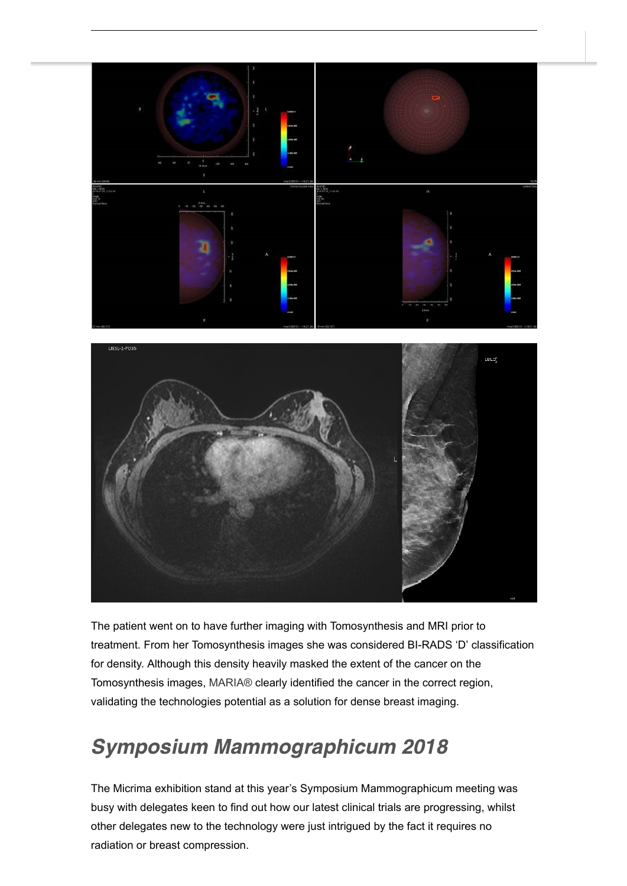

The patient went on to have further imaging with Tomosynthesis and MRI prior to treatment. From her Tomosynthesis images she was considered BI-RADS 'D' classification for density. Although this density heavily masked the extent of the cancer on the Tomosynthesis images, MARIA® clearly identified the cancer in the correct region, validating the technologies potential as a solution for dense breast imaging.

### Symposium Mammographicum 2018

The Micrima exhibition stand at this year's Symposium Mammographicum meeting was busy with delegates keen to find out how our latest clinical trials are progressing, whilst other delegates new to the technology were just intrigued by the fact it requires no radiation or breast compression.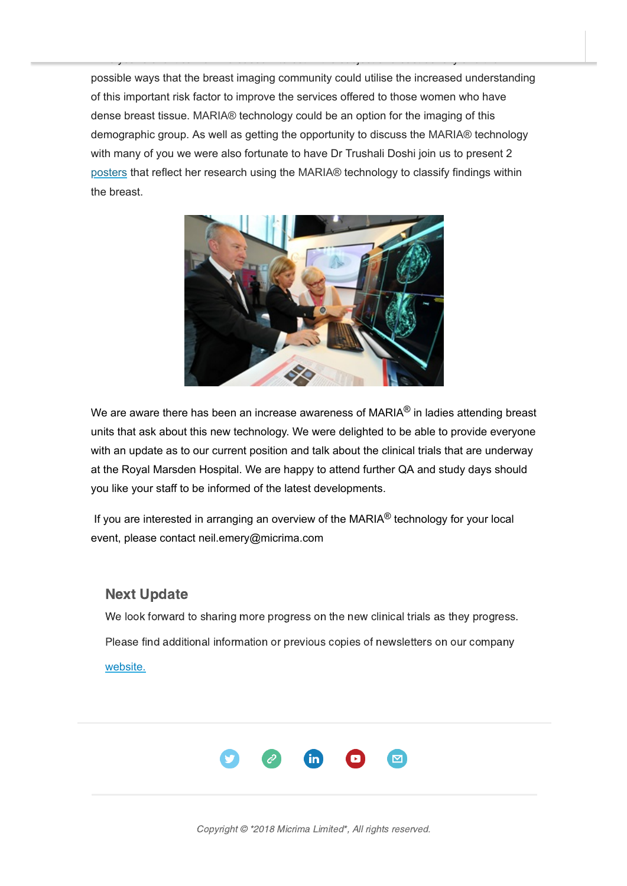possible ways that the breast imaging community could utilise the increased understanding of this important risk factor to improve the services offered to those women who have dense breast tissue. MARIA® technology could be an option for the imaging of this demographic group. As well as getting the opportunity to discuss the MARIA® technology with many of you we were also fortunate to have Dr Trushali Doshi join us to present 2 [posters](http://micrima.com/11-radio-wave-imaging-frequency-response-as-an-aid-to-lesion-charactrization-early-concept-work/) that reflect her research using the MARIA® technology to classify findings within the breast.

This year's event saw an increased interest in the subject of breast density and the



We are aware there has been an increase awareness of MARIA $^{\circledR}$  in ladies attending breast units that ask about this new technology. We were delighted to be able to provide everyone with an update as to our current position and talk about the clinical trials that are underway at the Royal Marsden Hospital. We are happy to attend further QA and study days should you like your staff to be informed of the latest developments.

If you are interested in arranging an overview of the MARIA<sup>®</sup> technology for your local event, please contact neil.emery@micrima.com

#### Next Update

We look forward to sharing more progress on the new clinical trials as they progress. Please find additional information or previous copies of newsletters on our company [website.](http://micrima.com/)